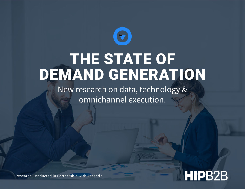

# THE STATE OF DEMAND GENERATION

New research on data, technology & omnichannel execution.



Research Conducted in Partnership with Ascend2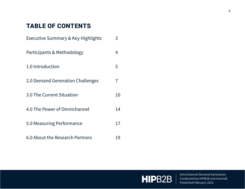### TABLE OF CONTENTS

| Executive Summary & Key Highlights | 3  |
|------------------------------------|----|
| Participants & Methodology         | 4  |
| 1.0 Introduction                   | 5  |
| 2.0 Demand Generation Challenges   | 7  |
| 3.0 The Current Situation          | 10 |
| 4.0 The Power of Omnichannel       | 14 |
| 5.0 Measuring Performance          | 17 |
| 6.0 About the Research Partners    | 19 |

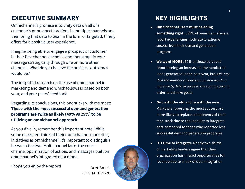### EXECUTIVE SUMMARY KEY HIGHLIGHTS

Omnichannel's promise is to unify data on all of a customer's or prospect's actions in multiple channels and then bring that data to bear in the form of targeted, timely offers for a positive user experience.

Imagine being able to engage a prospect or customer in their first channel of choice and then amplify your message strategically through one or more other channels. What do you believe the business outcomes would be?

The insightful research on the use of omnichannel in marketing and demand which follows is based on both your, and your peers', feedback.

Regarding its conclusions, this one sticks with me most: **Those with the most successful demand generation programs are twice as likely (49% vs 25%) to be utilizing an omnichannel approach.**

As you dive in, remember this important note: While some marketers think of their multichannel marketing initiatives as omnichannel, it's important to distinguish between the two. Multichannel lacks the crosschannel optimization of actions and messages built on omnichannel's integrated data model.

I hope you enjoy the report! Bret Smith

CEO at HIPB2B

- Omnichannel users must be doing something right... 99% of omnichannel users report experiencing moderate to extreme success from their demand generation programs.
- We want MORE. 60% of those surveyed report seeing an increase in the number of leads generated in the past year, but *41% say that the number of leads generated needs to increase by 10% or more in the coming year* in order to achieve goals.
- **• Out with the old and in with the new.**  Marketers reporting the most success are more likely to replace components of their tech stack due to the inability to integrate data compared to those who reported less successful demand generation programs.
- **• It's time to integrate.**Nearly two-thirds of marketing leaders agree that their organization has missed opportunities for revenue due to a lack of data integration.

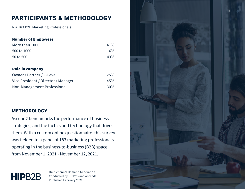### PARTICIPANTS & METHODOLOGY

N = 183 B2B Marketing Professionals

#### Number of Employees

| More than 1000 | 41% |
|----------------|-----|
| 500 to 1000    | 16% |
| 50 to 500      | 43% |

#### Role in company

| Owner / Partner / C-Level           | 25% |
|-------------------------------------|-----|
| Vice President / Director / Manager | 45% |
| Non-Management Professional         | 30% |

#### METHODOLOGY

Ascend2 benchmarks the performance of business strategies, and the tactics and technology that drives them. With a custom online questionnaire, this survey was fielded to a panel of 183 marketing professionals operating in the business-to-business (B2B) space from November 1, 2021 - November 12, 2021.



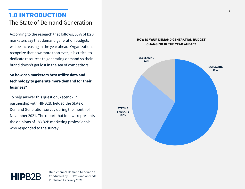### 1.0 INTRODUCTION The State of Demand Generation

According to the research that follows, 58% of B2B marketers say that demand generation budgets will be increasing in the year ahead. Organizations recognize that now more than ever, it is critical to dedicate resources to generating demand so their brand doesn't get lost in the sea of competitors.

#### **So how can marketers best utilize data and technology to generate more demand for their business?**

To help answer this question, Ascend2 in partnership with HIPB2B, fielded the State of Demand Generation survey during the month of November 2021. The report that follows represents the opinions of 183 B2B marketing professionals who responded to the survey.

#### HOW IS YOUR DEMAND GENERATION BUDGET CHANGING IN THE YEAR AHEAD?



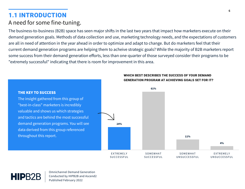## 1.1 INTRODUCTION

### A need for some fine-tuning.

The business-to-business (B2B) space has seen major shifts in the last two years that impact how marketers execute on their demand generation goals. Methods of data collection and use, marketing technology needs, and the expectations of customers are all in need of attention in the year ahead in order to optimize and adapt to change. But do marketers feel that their current demand generation programs are helping them to acheive strategic goals? While the majority of B2B marketers report some success from their demand generation efforts, less than one-quarter of those surveyed consider their programs to be "extremely successful" indicating that there is room for improvement in this area.



#### THE KEY TO SUCCESS

The insight gathered from this group of "best-in-class" marketers is incredibly valuable and shows us which strategies and tactics are behind the most successful demand generation programs. You will see data derived from this group referenced throughout this report.

# **HIPB2**

Omnichannel Demand Generation Conducted by HIPB2B and Ascend2 Published February 2022

#### WHICH BEST DESCRIBES THE SUCCESS OF YOUR DEMAND GENERATION PROGRAM AT ACHIEVING GOALS SET FOR IT?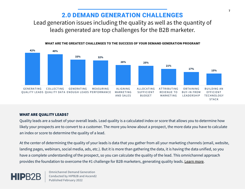### 2.0 DEMAND GENERATION CHALLENGES

### Lead generation issues including the quality as well as the quantity of leads generated are top challenges for the B2B marketer.



#### WHAT ARE THE GREATEST CHALLENGES TO THE SUCCESS OF YOUR DEMAND GENERATION PROGRAM?

#### WHAT ARE QUALITY LEADS?

Quality leads are a subset of your overall leads. Lead quality is a calculated index or score that allows you to determine how likely your prospects are to convert to a customer. The more you know about a prospect, the more data you have to calculate an index or score to determine the quality of a lead.

At the center of determining the quality of your leads is data that you gather from all your marketing channels (email, website, landing pages, webinars, social media, ads, etc.). But it is more than gathering the data, it is having the data unified, so you have a complete understanding of the prospect, so you can calculate the quality of the lead. This omnichannel approach provides the foundation to overcome the #1 challenge for B2B marketers, generating quality leads. [Learn more](https://www.hipb2b.com/solutions/omnichannel).

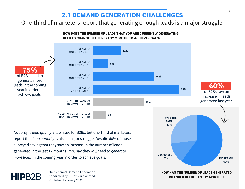### 2.1 DEMAND GENERATION CHALLENGES

### One-third of marketers report that generating enough leads is a major struggle.

#### **5% 20% 34% 24% 6% 11%** NEED TO GENERATE LESS THAN PREVIOUS MONTHS **STAY THE SAME AS** AS PREVIOUS PREVIOUS MONTHS INCREASE BY 5% MORE THAN 5% INCREASE BY 10% MORE THAN 10% INCREASE BY 15% MORE THAN 15% IN CREASE BY MORE THAN 20% MORE THAN 20% IN CREASE BY IN CREASE BY IN CREASE BY **STAYED THE 75%** of B2Bs need to generate more leads in the coming year in order to achieve goals. **60%** of B2Bs saw an increase in leads generated last year.

Not only is *lead quality* a top issue for B2Bs, but one-third of marketers report that *lead quantity* is also a major struggle. Despite 60% of those surveyed saying that they saw an increase in the number of leads generated in the last 12 months, 75% say they will need to *generate more leads* in the coming year in order to achieve goals.



Omnichannel Demand Generation Conducted by HIPB2B and Ascend2 Published February 2022

HOW HAS THE NUMBER OF LEADS GENERATED CHANGED IN THE LAST 12 MONTHS? **INCREASED 60% DECREASED 13% SAME 27%**

HOW DOES THE NUMBER OF LEADS THAT YOU ARE CURRENTLY GENERATING NEED TO CHANGE IN THE NEXT 12 MONTHS TO ACHIEVE GOALS?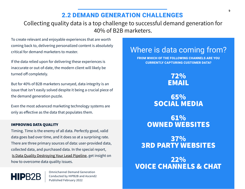### 2.2 DEMAND GENERATION CHALLENGES

Collecting quality data is a top challenge to successful demand generation for 40% of B2B marketers.

To create relevant and enjoyable experiences that are worth coming back to, delivering personalized content is absolutely critical for demand marketers to master.

If the data relied upon for delivering these experiences is inaccurate or out-of-date, the modern client will likely be turned off completely.

But for 40% of B2B marketers surveyed, data integrity is an issue that isn't easily solved despite it being a crucial piece of the demand generation puzzle.

Even the most advanced marketing technology systems are only as effective as the data that populates them.

#### IMPROVING DATA QUALITY

**HIPB2B** 

Timing. Time is the enemy of all data. Perfectly good, valid data goes bad over time, and it does so at a surprising rate. There are three primary sources of data: user-provided data, collected data, and purchased data. In the special report, [Is Data Quality Destroying Your Lead Pipeline](https://www.hipb2b.com/wp-content/uploads/2019/02/White-Paper-Is-Data-Quality-Destroying-Your-Lead-Pipeline.pdf), get insight on how to overcome data quality issues.

> Omnichannel Demand Generation Conducted by HIPB2B and Ascend2 Published February 2022

## Where is data coming from?

FROM WHICH OF THE FOLLOWING CHANNELS ARE YOU CURRENTLY CAPTURING CUSTOMER DATA?

### 72% EMAIL

### 65% SOCIAL MEDIA

61% OWNED WEBSITES

37% 3RD PARTY WEBSITES

22% VOICE CHANNELS & CHAT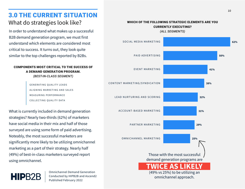### 3.0 THE CURRENT SITUATION What do strategies look like? WHICH OF THE FOLLOWING STRATEGIC ELEMENTS ARE YOU

In order to understand what makes up a successful *(ALL SEGMENTS)* B2B demand generation program, we must first understand which elements are considered most critical to success. It turns out, they look quite similar to the top challenges reported by B2Bs.

#### COMPONENTS MOST CRITICAL TO THE SUCCESS OF A DEMAND GENERATION PROGRAM. *(BEST-IN-CLASS SEGMENT)*

GENERATING QUALITY LEADS ALIGNING MARKETING AND SALES MEASURING PERFORMANCE COLLECTING QUALITY DATA

What is currently included in demand generation strategies? Nearly two-thirds (62%) of marketers have social media in their mix and half of those surveyed are using some form of paid advertising. Noteably, the most successful marketers are significantly more likely to be utilizing omnichannel marketing as a part of their strategy. Nearly half (49%) of best-in-class marketers surveyed report using omnichannel.

# **HIPB2**

Omnichannel Demand Generation Conducted by HIPB2B and Ascend2 Published February 2022

# CURRENTLY EXECUTING?

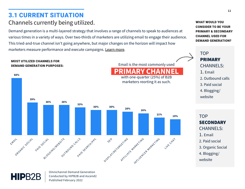### 3.1 CURRENT SITUATION Channels currently being utilized. What we have a set of the set of the set of the set of the set of the set of the set of the set of the set of the set of the set of the set of the set of the set of the set of the set of

Demand generation is a multi-layered strategy that involves a range of channels to speak to audiences at various times in a variety of ways. Over two-thirds of marketers are utilizing email to engage their audience. This tried-and-true channel isn't going anywhere, but major changes on the horizon will impact how marketers measure performance and execute campaigns. [Learn more.](https://spark.adobe.com/page/rlpCBYZbR4q5e/)

Email is the most commonly used

**MARY CHAN** with one-quarter (25%) of B2B marketers reorting it as such.

#### MOST UTILIZED CHANNELS FOR DEMAND GENERATION PURPOSES:

**68%**



CONSIDER TO BE YOUR PRIMARY & SECONDARY CHANNEL USED FOR DEMAND GENERATION?



**TOP SECONDARY** CHANNELS: 1. Email 2. Paid social 3. Organic Social 4. Blogging/ website

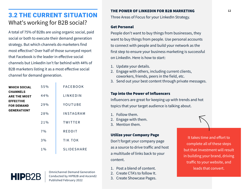### 3.2 THE CURRENT SITUATION What's working for B2B social?

A total of 75% of B2Bs are using organic social, paid social or both to execute their demand generation strategy. But which channels do marketers find most effective? Over half of those surveyed report that Facebook is the leader in effective social channels but LinkedIn isn't far behind with 44% of B2B marketers listing it as a most effective social channel for demand generation.

| WHICH SOCIAL                           | 55%   | <b>FACEBOOK</b>   |
|----------------------------------------|-------|-------------------|
| <b>CHANNELS</b><br><b>ARE THE MOST</b> | 44%   | LINKEDIN          |
| <b>EFFECTIVE</b><br><b>FOR DEMAND</b>  | 29%   | YOUTUBE           |
| <b>GENERATION?</b>                     | 28%   | <b>INSTAGRAM</b>  |
|                                        | 21%   | TWITTER           |
|                                        | 7%    | REDDIT            |
|                                        | $3\%$ | <b>TIK TOK</b>    |
|                                        | $1\%$ | <b>SLIDESHARE</b> |
|                                        |       |                   |

#### THE POWER OF LINKEDIN FOR B2B MARKETING

Three Areas of Focus for your LinkedIn Strategy.

#### Get Personal

People don't want to buy things from businesses, they want to buy things from people. Use personal accounts to connect with people and build your network as the first step to ensure your business marketing is successful on LinkedIn. Here is how to start:

- 1. Update your details.
- 2. Engage with others, including current clients, coworkers, friends, peers in the field, etc.
- 3. Send out your best content through private messages.

#### Tap into the Power of Influencers

Influencers are great for keeping up with trends and hot topics that your target audience is talking about.

- 1. Follow them.
- 2. Engage with them.
- 3. Mention them.

#### Utilize your Company Page

Don't forget your company page as a source to drive traffic and host a multitude of links back to your content.

- 1. Post a blend of content.
- 2. Create CTA's to follow It.
- 3. Create Showcase Pages.

It takes time and effort to complete all of these steps but that investment will result in building your brand, driving traffic to your website, and leads that convert.

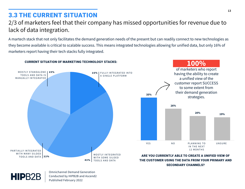### 3.3 THE CURRENT SITUATION

### 2/3 of marketers feel that their company has missed opportunities for revenue due to lack of data integration.

A martech stack that not only facilitates the demand generation needs of the present but can readily connect to new technologies as they become available is critical to scalable success. This means integrated technologies allowing for unified data, but only 16% of marketers report having their tech stacks fully integrated.

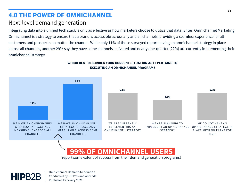### 4.0 THE POWER OF OMNICHANNEL Next-level demand generation

Integrating data into a unified tech stack is only as effective as how marketers choose to utilize that data. Enter: Omnichannel Marketing. Omnichannel is a strategy to ensure that a brand is accessible across any and all channels, providing a seamless experience for all customers and prospects no matter the channel. While only 11% of those surveyed report having an omnichannel strategy in place across all channels, another 29% say they have some channels activated and nearly one-quarter (22%) are currently implementing their omnichannel strategy.



#### WHICH BEST DESCRIBES YOUR CURRENT SITUATION AS IT PERTAINS TO EXECUTING AN OMNICHANNEL PROGRAM?

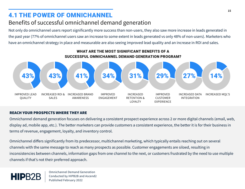### 4.1 THE POWER OF OMNICHANNEL

### Benefits of successful omnichannel demand generation

Not only do omnichannel users report significantly more success than non-users, they also saw more increase in leads generated in the past year (77% of omnichannel users saw an increase to some extent in leads generated vs only 48% of non-users). Marketers who have an omnichannel strategy in place and measurable are also seeing improved lead quality and an increase in ROI and sales.



# WHAT ARE THE MOST SIGNIFICANT BENEFITS OF A

#### REACH YOUR PROSPECTS WHERE THEY ARE

Omnichannel demand generation focuses on delivering a consistent prospect experience across 2 or more digital channels (email, web, display ad, mobile app, etc.). The better marketers can provide customers a consistent experience, the better it is for their business in terms of revenue, engagement, loyalty, and inventory control.

Omnichannel differs significantly from its predecessor, multichannel marketing, which typically entails reaching out on several channels with the same message to reach as many prospects as possible. Customer engagements are siloed, resulting in inconsistencies between channels, information gaps from one channel to the next, or customers frustrated by the need to use multiple channels if that's not their preferred approach.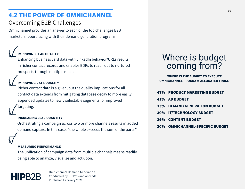# 4.2 THE POWER OF OMNICHANNEL

### Overcoming B2B Challenges

Omnichannel provides an answer to each of the top challenges B2B marketers report facing with their demand generation programs.

### IMPROVING LEAD QUALITY

Enhancing business card data with LinkedIn behavior/URLs results in richer contact records and enables BDRs to reach out to nurtured prospects through multiple means.

#### IMPROVING DATA QUALITY

Richer contact data is a given, but the quality implications for all contact data extends from mitigating database decay to more easily appended updates to newly selectable segments for improved targeting.

#### INCREASING LEAD QUANTITY

Orchestrating a campaign across two or more channels results in added demand capture. In this case, "the whole exceeds the sum of the parts."

#### MEASURING PERFORMANCE

The unification of campaign data from multiple channels means readily being able to analyze, visualize and act upon.

# **HIPB**

Omnichannel Demand Generation Conducted by HIPB2B and Ascend2 Published February 2022

# Where is budget coming from?

WHERE IS THE BUDGET TO EXECUTE OMNICHANNEL PROGRAM ALLOCATED FROM?

- 47% PRODUCT MARKETING BUDGET
- 41% AD BUDGET
- 33% DEMAND GENERATION BUDGET
- 30% IT/TECHNOLOGY BUDGET
- 29% CONTENT BUDGET
- 20% OMNICHANNEL-SPECIFIC BUDGET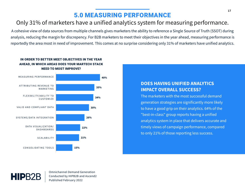### 5.0 MEASURING PERFORMANCE

### Only 31% of marketers have a unified analytics system for measuring performance.

A cohesive view of data sources from multiple channels gives marketers the ability to reference a Single Source of Truth (SSOT) during analysis, reducing the margin for discrepency. For B2B marketers to meet their objectives in the year ahead, measuring performance is reportedly the area most in need of improvement. This comes at no surprise considering only 31% of marketers have unified analytics.

#### IN ORDER TO BETTER MEET OBJECTIVES IN THE YEAR AHEAD, IN WHICH AREAS DOES YOUR MARTECH STACK NEED TO MOST IMPROVE?



#### **DOES HAVING UNIFIED ANALYTICS IMPACT OVERALL SUCCESS?**

The marketers with the most successful demand generation strategies are significantly more likely to have a good grip on their analytics. 64% of the "best-in-class" group reports having a unified analytics system in place that delivers accurate and timely views of campaign performance, compared to only 21% of those reporting less success.

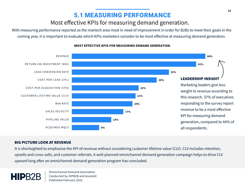# 5.1 MEASURING PERFORMANCE

Most effective KPIs for measuring demand generation.

With measuring performance reported as the martech area most in need of improvement in order for B2Bs to meet their goals in the coming year, it is important to evaluate which KPIs marketers consider to be most effective at measuring demand generation.



#### MOST EFFECTIVE KPIS FOR MEASURING DEMAND GENERATION.

#### BIG PICTURE LOOK AT REVENUE

It is shortsighted to emphasize the KPI of revenue without considering customer lifetime value (CLV). CLV includes retention, upsells and cross-sells, and customer referrals. A well-planned omnichannel demand generation campaign helps to drive CLV upward long after an omnichannel demand generation program has concluded.

**HIPB**